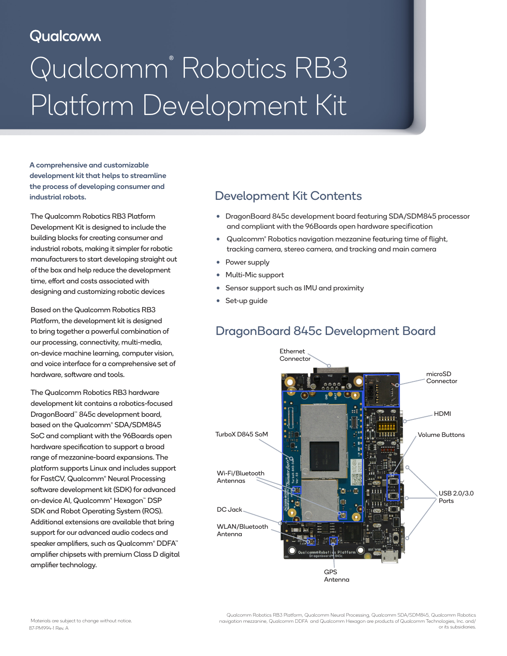# Qualcomm

# Qualcomm® Robotics RB3 Platform Development Kit

A comprehensive and customizable development kit that helps to streamline the process of developing consumer and industrial robots.

The Qualcomm Robotics RB3 Platform Development Kit is designed to include the building blocks for creating consumer and industrial robots, making it simpler for robotic manufacturers to start developing straight out of the box and help reduce the development time, effort and costs associated with designing and customizing robotic devices

Based on the Qualcomm Robotics RB3 Platform, the development kit is designed to bring together a powerful combination of our processing, connectivity, multi-media, on-device machine learning, computer vision, and voice interface for a comprehensive set of hardware, software and tools.

The Qualcomm Robotics RB3 hardware development kit contains a robotics-focused DragonBoard™ 845c development board, based on the Qualcomm® SDA/SDM845 SoC and compliant with the 96Boards open hardware specification to support a broad range of mezzanine-board expansions. The platform supports Linux and includes support for FastCV, Qualcomm® Neural Processing software development kit (SDK) for advanced on-device AI, Qualcomm® Hexagon™ DSP SDK and Robot Operating System (ROS). Additional extensions are available that bring support for our advanced audio codecs and speaker amplifiers, such as Qualcomm® DDFA™ amplifier chipsets with premium Class D digital amplifier technology.

### Development Kit Contents

- DragonBoard 845c development board featuring SDA/SDM845 processor and compliant with the 96Boards open hardware specification
- Qualcomm® Robotics navigation mezzanine featuring time of flight, tracking camera, stereo camera, and tracking and main camera
- Power supply
- Multi-Mic support
- Sensor support such as IMU and proximity
- Set-up guide

# DragonBoard 845c Development Board



Qualcomm Robotics RB3 Platform, Qualcomm Neural Processing, Qualcomm SDA/SDM845, Qualcomm Robotics navigation mezzanine, Qualcomm DDFA and Qualcomm Hexagon are products of Qualcomm Technologies, Inc. and/ 87-PM994-1 Rev. A or its subsidiaries.